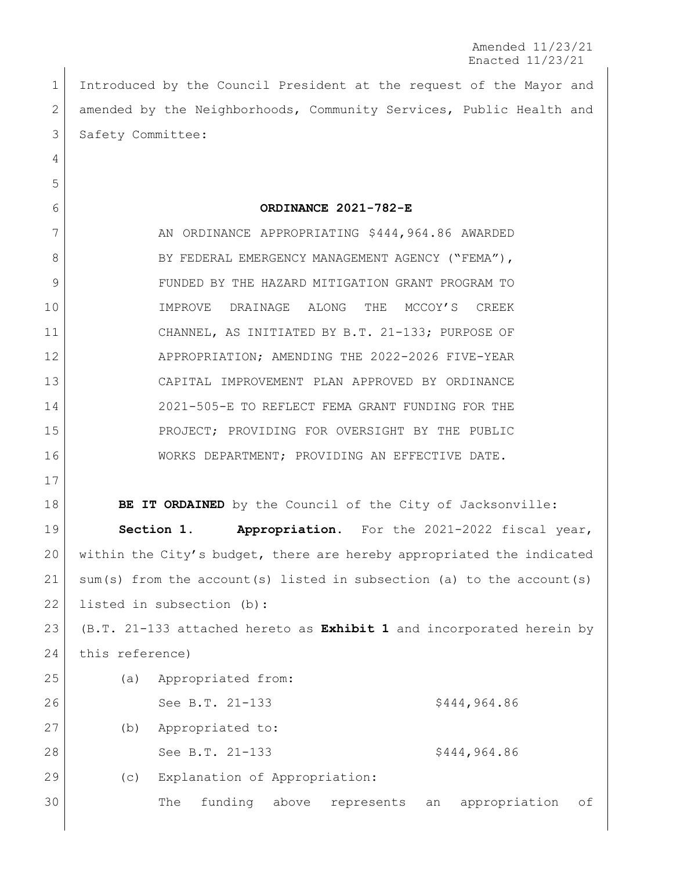1 Introduced by the Council President at the request of the Mayor and 2 amended by the Neighborhoods, Community Services, Public Health and 3 Safety Committee:

## **ORDINANCE 2021-782-E**

7 AN ORDINANCE APPROPRIATING \$444,964.86 AWARDED 8 BY FEDERAL EMERGENCY MANAGEMENT AGENCY ("FEMA"), FUNDED BY THE HAZARD MITIGATION GRANT PROGRAM TO 10 | IMPROVE DRAINAGE ALONG THE MCCOY'S CREEK CHANNEL, AS INITIATED BY B.T. 21-133; PURPOSE OF APPROPRIATION; AMENDING THE 2022-2026 FIVE-YEAR CAPITAL IMPROVEMENT PLAN APPROVED BY ORDINANCE 2021-505-E TO REFLECT FEMA GRANT FUNDING FOR THE PROJECT; PROVIDING FOR OVERSIGHT BY THE PUBLIC WORKS DEPARTMENT; PROVIDING AN EFFECTIVE DATE.

**BE IT ORDAINED** by the Council of the City of Jacksonville:

 **Section 1. Appropriation.** For the 2021-2022 fiscal year, within the City's budget, there are hereby appropriated the indicated sum(s) from the account(s) listed in subsection (a) to the account(s) 22 listed in subsection (b):

 (B.T. 21-133 attached hereto as **Exhibit 1** and incorporated herein by 24 this reference)

| 25 | (a)                     |  |                               | Appropriated from: |       |            |    |               |    |
|----|-------------------------|--|-------------------------------|--------------------|-------|------------|----|---------------|----|
| 26 |                         |  |                               | See B.T. 21-133    |       |            |    | \$444,964.86  |    |
| 27 | Appropriated to:<br>(b) |  |                               |                    |       |            |    |               |    |
| 28 |                         |  |                               | See B.T. 21-133    |       |            |    | \$444,964.86  |    |
| 29 | (C)                     |  | Explanation of Appropriation: |                    |       |            |    |               |    |
| 30 |                         |  | The                           | funding            | above | represents | an | appropriation | of |
|    |                         |  |                               |                    |       |            |    |               |    |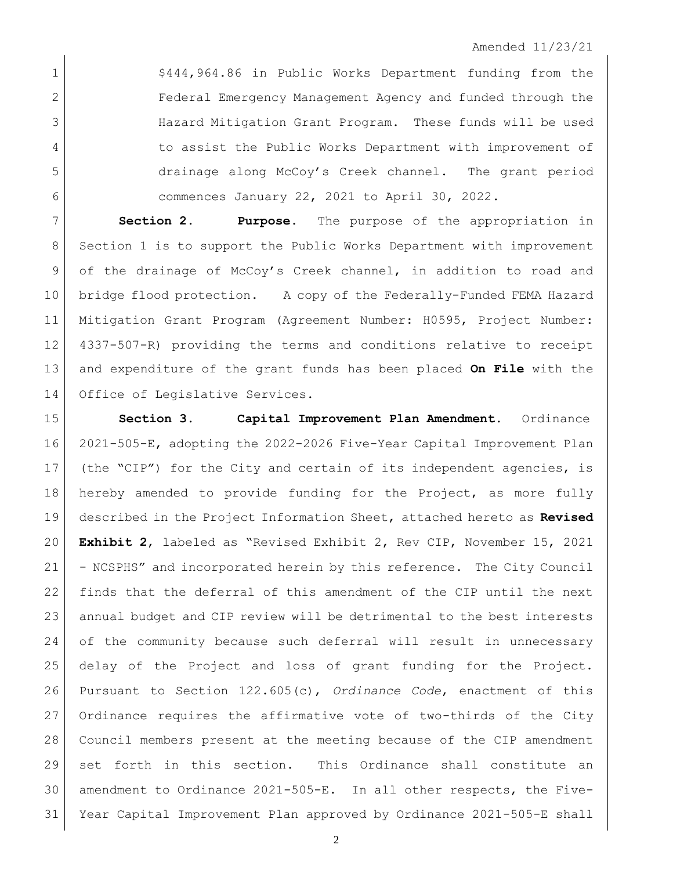1 <br>
<sup>5444,964.86</sup> in Public Works Department funding from the Federal Emergency Management Agency and funded through the Hazard Mitigation Grant Program. These funds will be used 4 to assist the Public Works Department with improvement of drainage along McCoy's Creek channel. The grant period commences January 22, 2021 to April 30, 2022.

 **Section 2. Purpose.** The purpose of the appropriation in Section 1 is to support the Public Works Department with improvement 9 of the drainage of McCoy's Creek channel, in addition to road and bridge flood protection. A copy of the Federally-Funded FEMA Hazard Mitigation Grant Program (Agreement Number: H0595, Project Number: 4337-507-R) providing the terms and conditions relative to receipt and expenditure of the grant funds has been placed **On File** with the Office of Legislative Services.

 **Section 3. Capital Improvement Plan Amendment.** Ordinance 2021-505-E, adopting the 2022-2026 Five-Year Capital Improvement Plan (the "CIP") for the City and certain of its independent agencies, is hereby amended to provide funding for the Project, as more fully described in the Project Information Sheet, attached hereto as **Revised Exhibit 2**, labeled as "Revised Exhibit 2, Rev CIP, November 15, 2021 - NCSPHS" and incorporated herein by this reference. The City Council finds that the deferral of this amendment of the CIP until the next annual budget and CIP review will be detrimental to the best interests of the community because such deferral will result in unnecessary delay of the Project and loss of grant funding for the Project. Pursuant to Section 122.605(c), *Ordinance Code*, enactment of this 27 Ordinance requires the affirmative vote of two-thirds of the City Council members present at the meeting because of the CIP amendment set forth in this section. This Ordinance shall constitute an amendment to Ordinance 2021-505-E. In all other respects, the Five-Year Capital Improvement Plan approved by Ordinance 2021-505-E shall